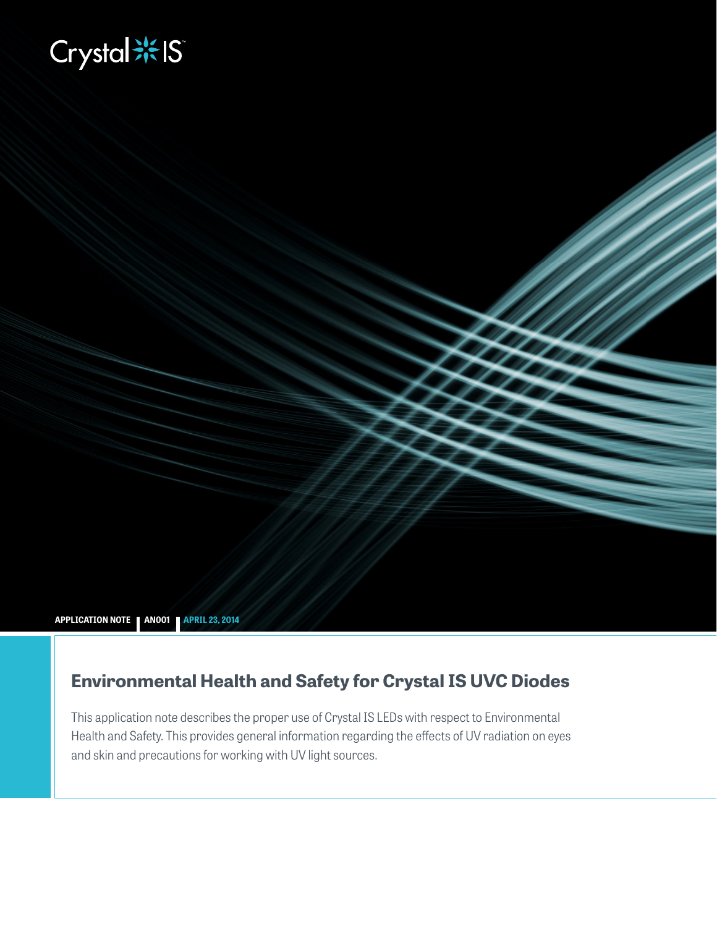# **Biography**



# **Environmental Health and Safety for Crystal IS UVC Diodes**

This application note describes the proper use of Crystal IS LEDs with respect to Environmental Health and Safety. This provides general information regarding the effects of UV radiation on eyes and skin and precautions for working with UV light sources.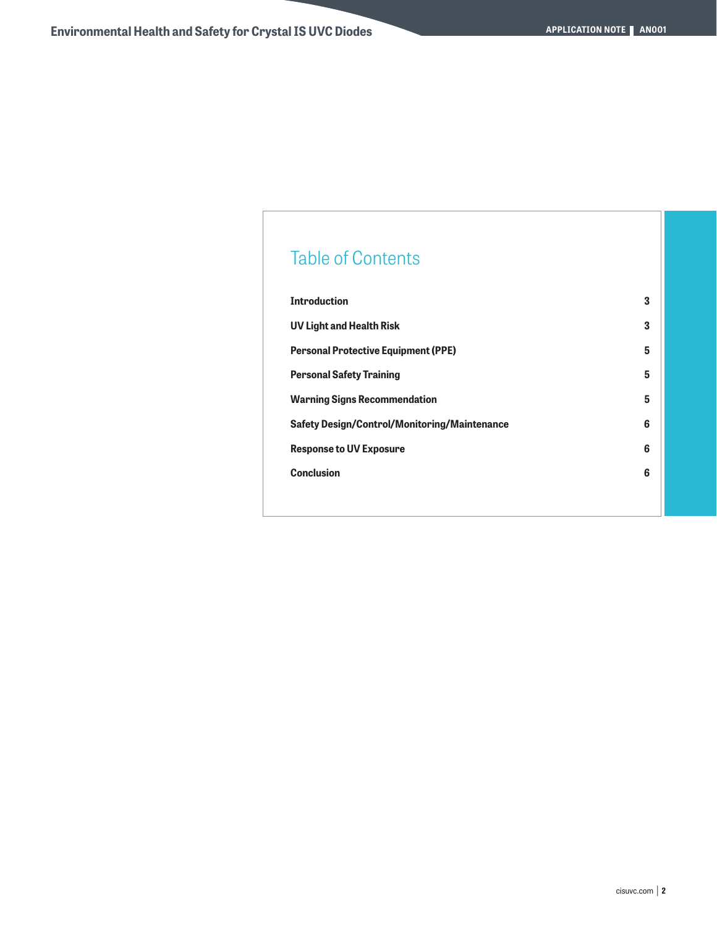# Table of Contents

| <b>Introduction</b>                                 | 3 |
|-----------------------------------------------------|---|
| <b>UV Light and Health Risk</b>                     | 3 |
| <b>Personal Protective Equipment (PPE)</b>          | 5 |
| <b>Personal Safety Training</b>                     | 5 |
| <b>Warning Signs Recommendation</b>                 | 5 |
| <b>Safety Design/Control/Monitoring/Maintenance</b> | 6 |
| <b>Response to UV Exposure</b>                      | 6 |
| <b>Conclusion</b>                                   | 6 |
|                                                     |   |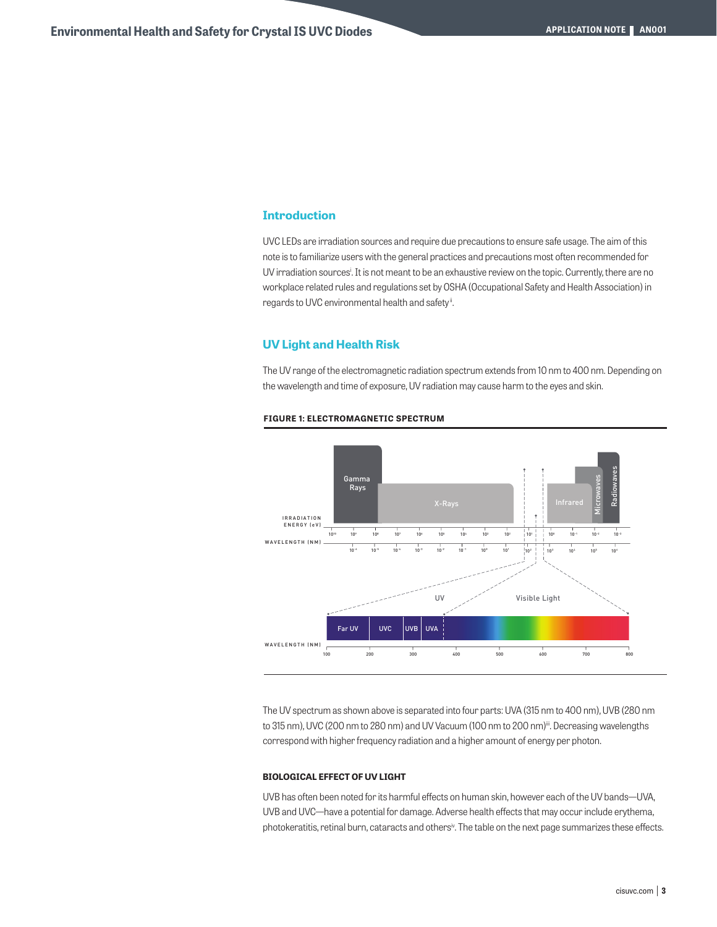# **Introduction**

UVC LEDs are irradiation sources and require due precautions to ensure safe usage. The aim of this note is to familiarize users with the general practices and precautions most often recommended for UV irradiation sources<sup>i</sup>. It is not meant to be an exhaustive review on the topic. Currently, there are no workplace related rules and regulations set by OSHA (Occupational Safety and Health Association) in regards to UVC environmental health and safety".

## **UV Light and Health Risk**

The UV range of the electromagnetic radiation spectrum extends from 10 nm to 400 nm. Depending on the wavelength and time of exposure, UV radiation may cause harm to the eyes and skin.



#### **FIGURE 1: ELECTROMAGNETIC SPECTRUM**

The UV spectrum as shown above is separated into four parts: UVA (315 nm to 400 nm), UVB (280 nm to 315 nm), UVC (200 nm to 280 nm) and UV Vacuum (100 nm to 200 nm)<sup>ii</sup>. Decreasing wavelengths correspond with higher frequency radiation and a higher amount of energy per photon.

#### **BIOLOGICAL EFFECT OF UV LIGHT**

UVB has often been noted for its harmful effects on human skin, however each of the UV bands—UVA, UVB and UVC—have a potential for damage. Adverse health effects that may occur include erythema, photokeratitis, retinal burn, cataracts and others<sup>iv</sup>. The table on the next page summarizes these effects.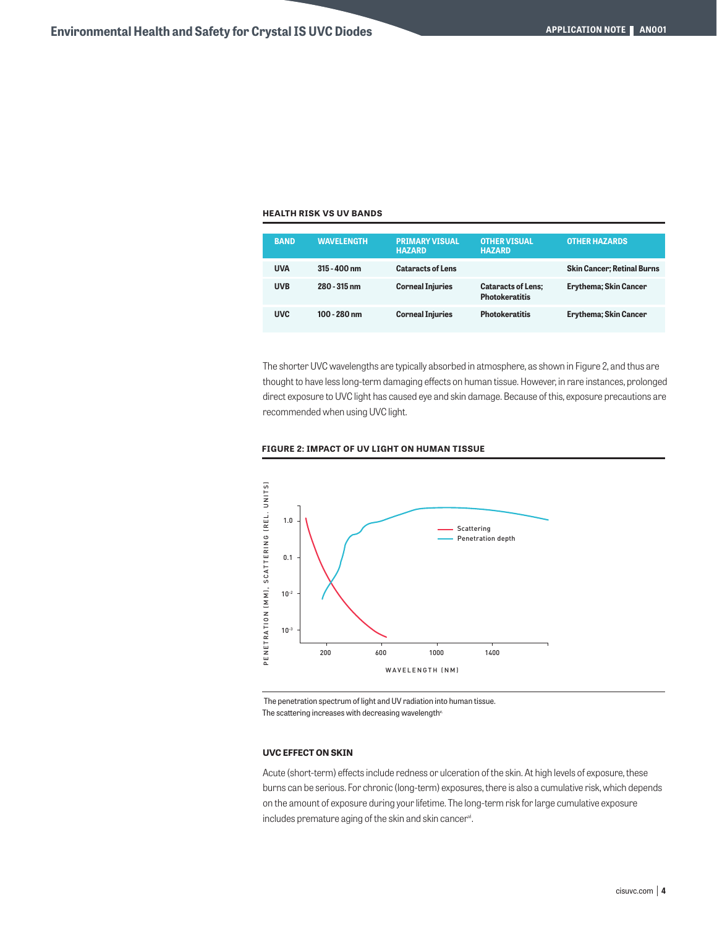#### **HEALTH RISK VS UV BANDS**

| <b>BAND</b> | <b>WAVELENGTH</b> | <b>PRIMARY VISUAL</b><br><b>HAZARD</b> | <b>OTHER VISUAL</b><br><b>HAZARD</b>               | <b>OTHER HAZARDS</b>              |
|-------------|-------------------|----------------------------------------|----------------------------------------------------|-----------------------------------|
| <b>UVA</b>  | $315 - 400$ nm    | <b>Cataracts of Lens</b>               |                                                    | <b>Skin Cancer; Retinal Burns</b> |
| <b>UVB</b>  | 280 - 315 nm      | <b>Corneal Injuries</b>                | <b>Cataracts of Lens:</b><br><b>Photokeratitis</b> | <b>Erythema</b> ; Skin Cancer     |
| <b>UVC</b>  | $100 - 280$ nm    | <b>Corneal Injuries</b>                | <b>Photokeratitis</b>                              | <b>Erythema</b> ; Skin Cancer     |

The shorter UVC wavelengths are typically absorbed in atmosphere, as shown in Figure 2, and thus are thought to have less long-term damaging effects on human tissue. However, in rare instances, prolonged direct exposure to UVC light has caused eye and skin damage. Because of this, exposure precautions are recommended when using UVC light.





The penetration spectrum of light and UV radiation into human tissue.

#### **UVC EFFECT ON SKIN**

Acute (short-term) effects include redness or ulceration of the skin. At high levels of exposure, these burns can be serious. For chronic (long-term) exposures, there is also a cumulative risk, which depends on the amount of exposure during your lifetime. The long-term risk for large cumulative exposure includes premature aging of the skin and skin cancer<sup>vi</sup>.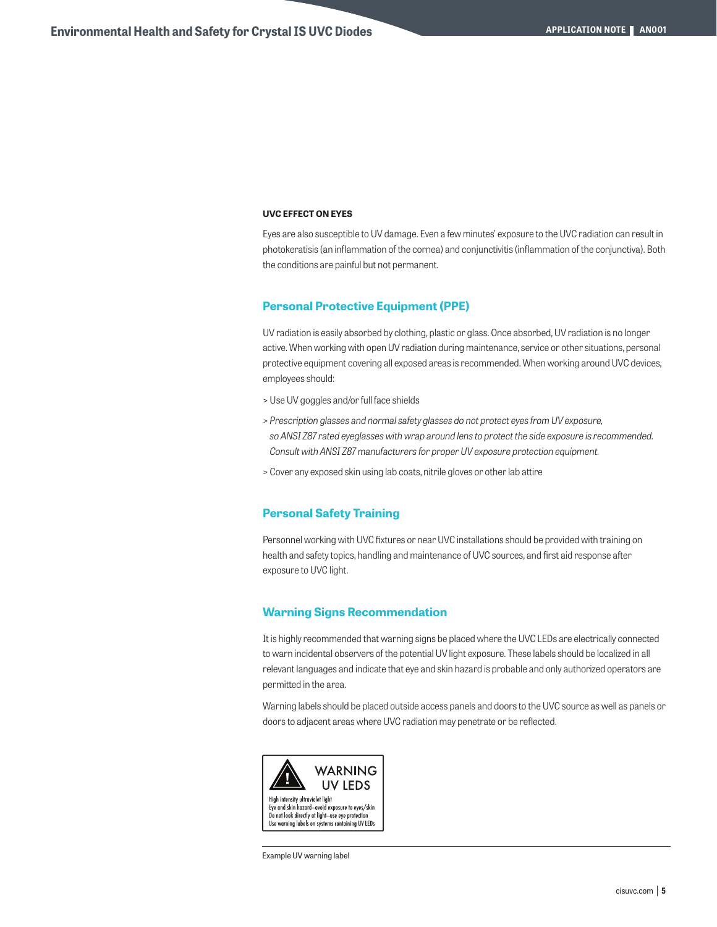#### **UVC EFFECT ON EYES**

Eyes are also susceptible to UV damage. Even a few minutes' exposure to the UVC radiation can result in photokeratisis (an inflammation of the cornea) and conjunctivitis (inflammation of the conjunctiva). Both the conditions are painful but not permanent.

#### **Personal Protective Equipment (PPE)**

UV radiation is easily absorbed by clothing, plastic or glass. Once absorbed, UV radiation is no longer active. When working with open UV radiation during maintenance, service or other situations, personal protective equipment covering all exposed areas is recommended. When working around UVC devices, employees should:

- > Use UV goggles and/or full face shields
- > *Prescription glasses and normal safety glasses do not protect eyes from UV exposure, so ANSI Z87 rated eyeglasses with wrap around lens to protect the side exposure is recommended. Consult with ANSI Z87 manufacturers for proper UV exposure protection equipment.*
- > Cover any exposed skin using lab coats, nitrile gloves or other lab attire

## **Personal Safety Training**

Personnel working with UVC fixtures or near UVC installations should be provided with training on health and safety topics, handling and maintenance of UVC sources, and first aid response after exposure to UVC light.

## **Warning Signs Recommendation**

It is highly recommended that warning signs be placed where the UVC LEDs are electrically connected to warn incidental observers of the potential UV light exposure. These labels should be localized in all relevant languages and indicate that eye and skin hazard is probable and only authorized operators are permitted in the area.

Warning labels should be placed outside access panels and doors to the UVC source as well as panels or doors to adjacent areas where UVC radiation may penetrate or be reflected.



Example UV warning label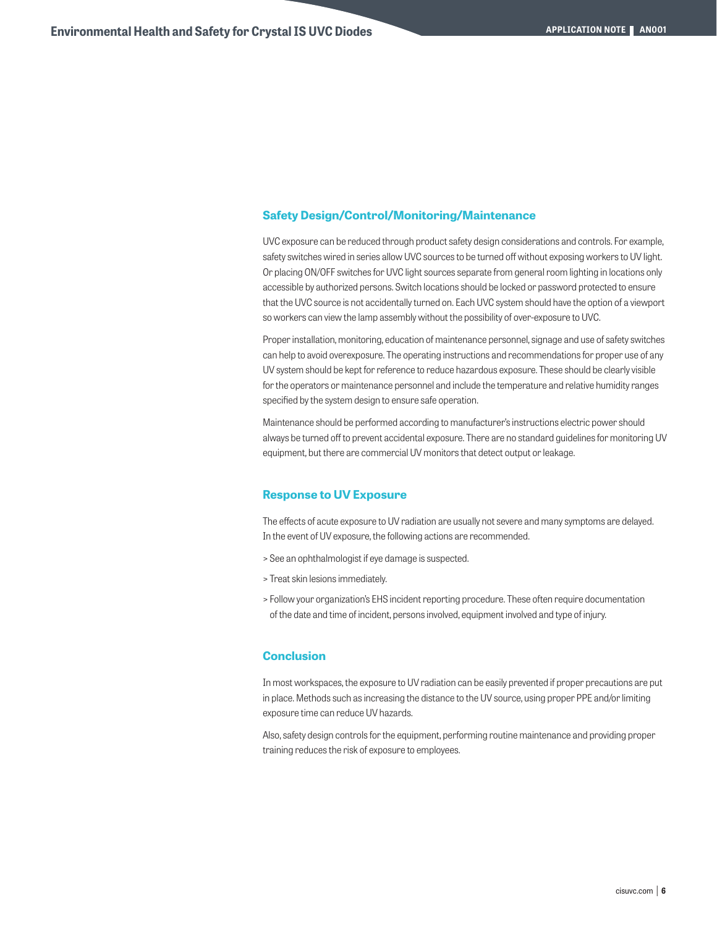# **Safety Design/Control/Monitoring/Maintenance**

UVC exposure can be reduced through product safety design considerations and controls. For example, safety switches wired in series allow UVC sources to be turned off without exposing workers to UV light. Or placing ON/OFF switches for UVC light sources separate from general room lighting in locations only accessible by authorized persons. Switch locations should be locked or password protected to ensure that the UVC source is not accidentally turned on. Each UVC system should have the option of a viewport so workers can view the lamp assembly without the possibility of over-exposure to UVC.

Proper installation, monitoring, education of maintenance personnel, signage and use of safety switches can help to avoid overexposure. The operating instructions and recommendations for proper use of any UV system should be kept for reference to reduce hazardous exposure. These should be clearly visible for the operators or maintenance personnel and include the temperature and relative humidity ranges specified by the system design to ensure safe operation.

Maintenance should be performed according to manufacturer's instructions electric power should always be turned off to prevent accidental exposure. There are no standard guidelines for monitoring UV equipment, but there are commercial UV monitors that detect output or leakage.

#### **Response to UV Exposure**

The effects of acute exposure to UV radiation are usually not severe and many symptoms are delayed. In the event of UV exposure, the following actions are recommended.

- > See an ophthalmologist if eye damage is suspected.
- > Treat skin lesions immediately.
- > Follow your organization's EHS incident reporting procedure. These often require documentation of the date and time of incident, persons involved, equipment involved and type of injury.

# **Conclusion**

In most workspaces, the exposure to UV radiation can be easily prevented if proper precautions are put in place. Methods such as increasing the distance to the UV source, using proper PPE and/or limiting exposure time can reduce UV hazards.

Also, safety design controls for the equipment, performing routine maintenance and providing proper training reduces the risk of exposure to employees.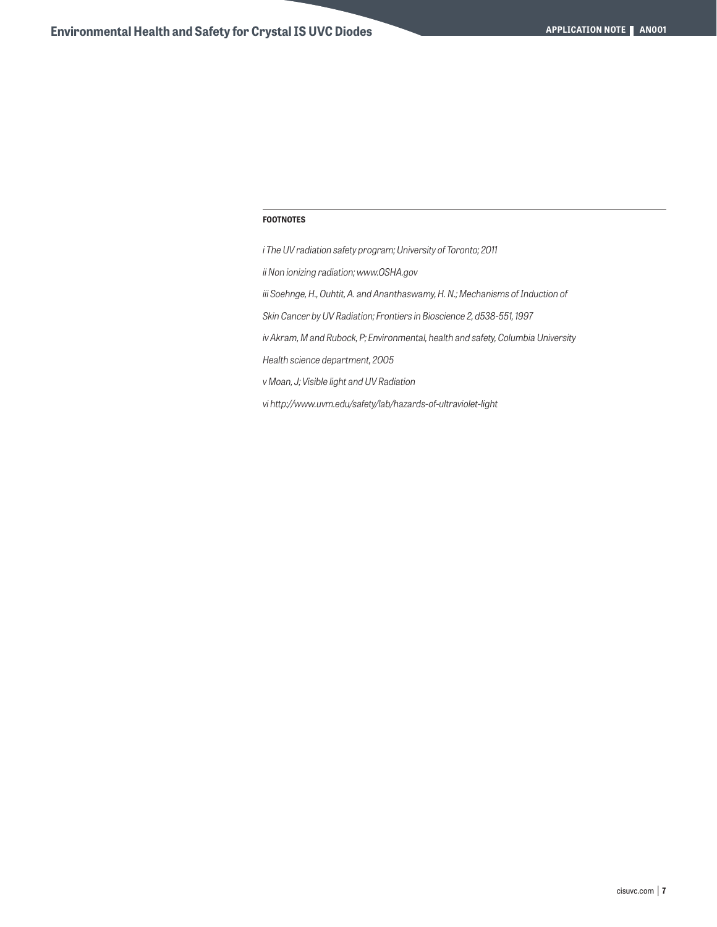#### **FOOTNOTES**

*i The UV radiation safety program; University of Toronto; 2011 ii Non ionizing radiation; www.OSHA.gov iii Soehnge, H., Ouhtit, A. and Ananthaswamy, H. N.; Mechanisms of Induction of Skin Cancer by UV Radiation; Frontiers in Bioscience 2, d538-551, 1997 iv Akram, M and Rubock, P; Environmental, health and safety, Columbia University Health science department, 2005 v Moan, J; Visible light and UV Radiation vi http://www.uvm.edu/safety/lab/hazards-of-ultraviolet-light*